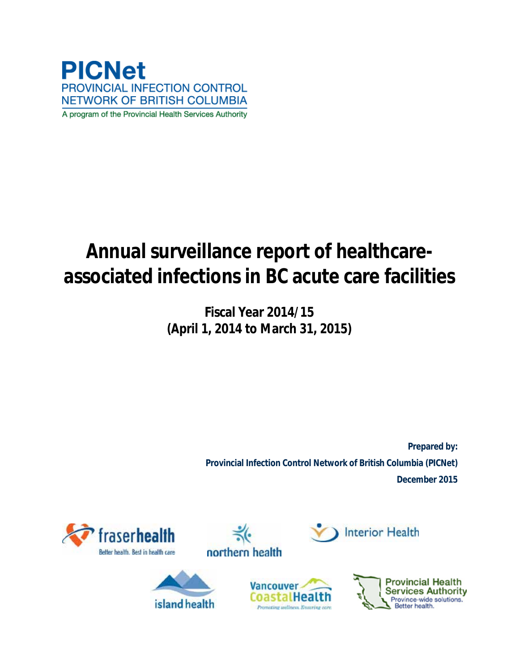

# **Annual surveillance report of healthcareassociated infections in BC acute care facilities**

**Fiscal Year 2014/15 (April 1, 2014 to March 31, 2015)**

> **Prepared by: Provincial Infection Control Network of British Columbia (PICNet) December 2015**





island health





**Interior Health**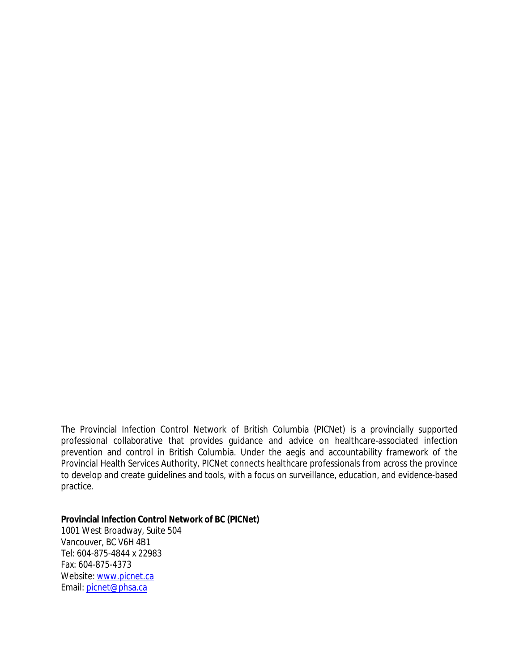The Provincial Infection Control Network of British Columbia (PICNet) is a provincially supported professional collaborative that provides guidance and advice on healthcare-associated infection prevention and control in British Columbia. Under the aegis and accountability framework of the Provincial Health Services Authority, PICNet connects healthcare professionals from across the province to develop and create guidelines and tools, with a focus on surveillance, education, and evidence-based practice.

**Provincial Infection Control Network of BC (PICNet)**  1001 West Broadway, Suite 504 Vancouver, BC V6H 4B1 Tel: 604-875-4844 x 22983 Fax: 604-875-4373 Website[: www.picnet.ca](http://www.picnet.ca/) Email: [picnet@phsa.ca](mailto:picnet@phsa.ca)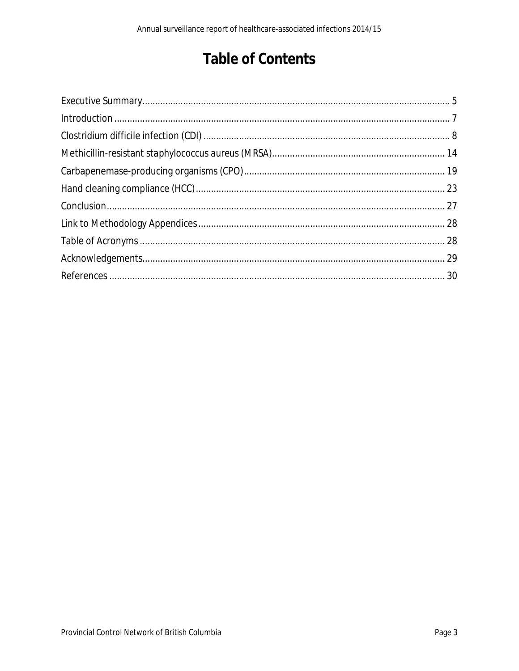# **Table of Contents**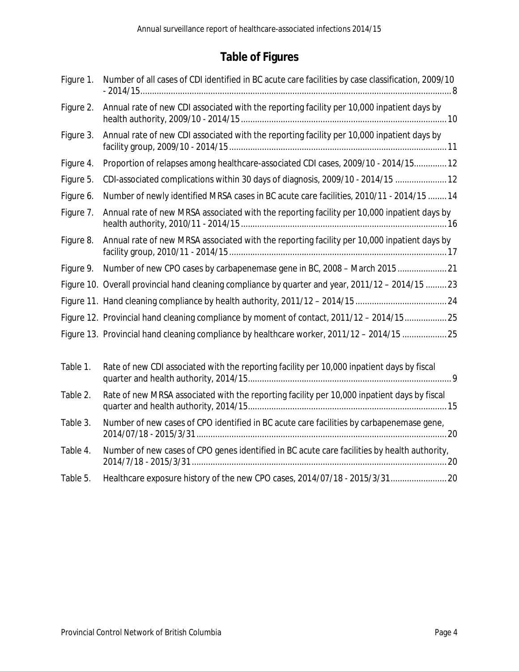### **Table of Figures**

| Figure 1. | Number of all cases of CDI identified in BC acute care facilities by case classification, 2009/10 |
|-----------|---------------------------------------------------------------------------------------------------|
| Figure 2. | Annual rate of new CDI associated with the reporting facility per 10,000 inpatient days by        |
| Figure 3. | Annual rate of new CDI associated with the reporting facility per 10,000 inpatient days by        |
| Figure 4. | Proportion of relapses among healthcare-associated CDI cases, 2009/10 - 2014/15 12                |
| Figure 5. | CDI-associated complications within 30 days of diagnosis, 2009/10 - 2014/15  12                   |
| Figure 6. | Number of newly identified MRSA cases in BC acute care facilities, 2010/11 - 2014/15  14          |
| Figure 7. | Annual rate of new MRSA associated with the reporting facility per 10,000 inpatient days by       |
| Figure 8. | Annual rate of new MRSA associated with the reporting facility per 10,000 inpatient days by       |
| Figure 9. |                                                                                                   |
|           | Figure 10. Overall provincial hand cleaning compliance by quarter and year, 2011/12 - 2014/15  23 |
|           |                                                                                                   |
|           | Figure 12. Provincial hand cleaning compliance by moment of contact, 2011/12 - 2014/1525          |
|           | Figure 13. Provincial hand cleaning compliance by healthcare worker, 2011/12 - 2014/15 25         |
| Table 1.  | Rate of new CDI associated with the reporting facility per 10,000 inpatient days by fiscal        |
| Table 2.  | Rate of new MRSA associated with the reporting facility per 10,000 inpatient days by fiscal       |
| Table 3.  | Number of new cases of CPO identified in BC acute care facilities by carbapenemase gene,          |
| Table 4.  | Number of new cases of CPO genes identified in BC acute care facilities by health authority,      |
| Table 5.  | Healthcare exposure history of the new CPO cases, 2014/07/18 - 2015/3/31 20                       |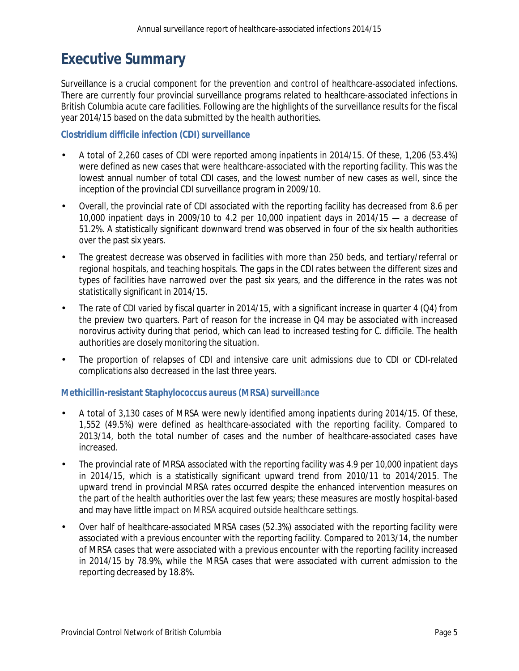### <span id="page-4-0"></span>**Executive Summary**

Surveillance is a crucial component for the prevention and control of healthcare-associated infections. There are currently four provincial surveillance programs related to healthcare-associated infections in British Columbia acute care facilities. Following are the highlights of the surveillance results for the fiscal year 2014/15 based on the data submitted by the health authorities.

#### *Clostridium difficile* **infection (CDI) surveillance**

- A total of 2,260 cases of CDI were reported among inpatients in 2014/15. Of these, 1,206 (53.4%) were defined as new cases that were healthcare-associated with the reporting facility. This was the lowest annual number of total CDI cases, and the lowest number of new cases as well, since the inception of the provincial CDI surveillance program in 2009/10.
- Overall, the provincial rate of CDI associated with the reporting facility has decreased from 8.6 per 10,000 inpatient days in 2009/10 to 4.2 per 10,000 inpatient days in 2014/15 — a decrease of 51.2%. A statistically significant downward trend was observed in four of the six health authorities over the past six years.
- The greatest decrease was observed in facilities with more than 250 beds, and tertiary/referral or regional hospitals, and teaching hospitals. The gaps in the CDI rates between the different sizes and types of facilities have narrowed over the past six years, and the difference in the rates was not statistically significant in 2014/15.
- The rate of CDI varied by fiscal quarter in 2014/15, with a significant increase in quarter 4 (Q4) from the preview two quarters. Part of reason for the increase in Q4 may be associated with increased norovirus activity during that period, which can lead to increased testing for *C. difficile*. The health authorities are closely monitoring the situation.
- The proportion of relapses of CDI and intensive care unit admissions due to CDI or CDI-related complications also decreased in the last three years.

#### **Methicillin-resistant** *Staphylococcus aureus* **(MRSA) surveill**a**nce**

- A total of 3,130 cases of MRSA were newly identified among inpatients during 2014/15. Of these, 1,552 (49.5%) were defined as healthcare-associated with the reporting facility. Compared to 2013/14, both the total number of cases and the number of healthcare-associated cases have increased.
- The provincial rate of MRSA associated with the reporting facility was 4.9 per 10,000 inpatient days in 2014/15, which is a statistically significant upward trend from 2010/11 to 2014/2015. The upward trend in provincial MRSA rates occurred despite the enhanced intervention measures on the part of the health authorities over the last few years; these measures are mostly hospital-based and may have little impact on MRSA acquired outside healthcare settings.
- Over half of healthcare-associated MRSA cases (52.3%) associated with the reporting facility were associated with a previous encounter with the reporting facility. Compared to 2013/14, the number of MRSA cases that were associated with a previous encounter with the reporting facility increased in 2014/15 by 78.9%, while the MRSA cases that were associated with current admission to the reporting decreased by 18.8%.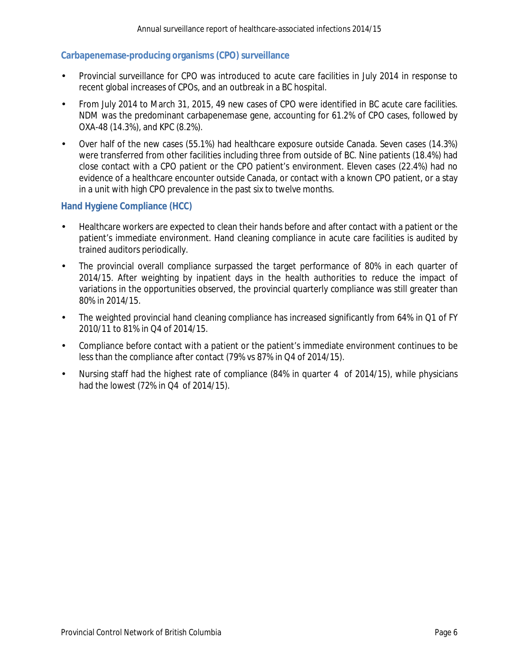#### **Carbapenemase-producing organisms (CPO) surveillance**

- Provincial surveillance for CPO was introduced to acute care facilities in July 2014 in response to recent global increases of CPOs, and an outbreak in a BC hospital.
- From July 2014 to March 31, 2015, 49 new cases of CPO were identified in BC acute care facilities. NDM was the predominant carbapenemase gene, accounting for 61.2% of CPO cases, followed by OXA-48 (14.3%), and KPC (8.2%).
- Over half of the new cases (55.1%) had healthcare exposure outside Canada. Seven cases (14.3%) were transferred from other facilities including three from outside of BC. Nine patients (18.4%) had close contact with a CPO patient or the CPO patient's environment. Eleven cases (22.4%) had no evidence of a healthcare encounter outside Canada, or contact with a known CPO patient, or a stay in a unit with high CPO prevalence in the past six to twelve months.

#### **Hand Hygiene Compliance (HCC)**

- Healthcare workers are expected to clean their hands before and after contact with a patient or the patient's immediate environment. Hand cleaning compliance in acute care facilities is audited by trained auditors periodically.
- The provincial overall compliance surpassed the target performance of 80% in each quarter of 2014/15. After weighting by inpatient days in the health authorities to reduce the impact of variations in the opportunities observed, the provincial quarterly compliance was still greater than 80% in 2014/15.
- The weighted provincial hand cleaning compliance has increased significantly from 64% in Q1 of FY 2010/11 to 81% in Q4 of 2014/15.
- Compliance before contact with a patient or the patient's immediate environment continues to be less than the compliance after contact (79% vs 87% in Q4 of 2014/15).
- Nursing staff had the highest rate of compliance (84% in quarter 4 of 2014/15), while physicians had the lowest (72% in Q4 of 2014/15).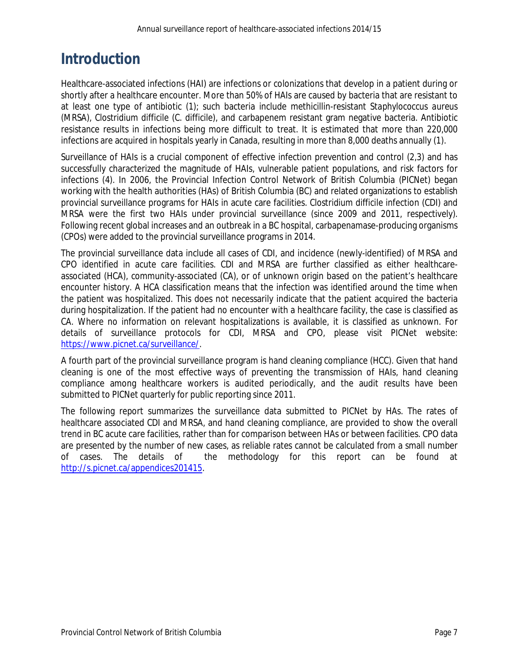# <span id="page-6-0"></span>**Introduction**

Healthcare-associated infections (HAI) are infections or colonizations that develop in a patient during or shortly after a healthcare encounter. More than 50% of HAIs are caused by bacteria that are resistant to at least one type of antibiotic (1); such bacteria include methicillin-resistant *Staphylococcus aureus* (MRSA), *Clostridium difficile* (*C. difficile*), and carbapenem resistant gram negative bacteria. Antibiotic resistance results in infections being more difficult to treat. It is estimated that more than 220,000 infections are acquired in hospitals yearly in Canada, resulting in more than 8,000 deaths annually (1).

Surveillance of HAIs is a crucial component of effective infection prevention and control (2,3) and has successfully characterized the magnitude of HAIs, vulnerable patient populations, and risk factors for infections (4). In 2006, the Provincial Infection Control Network of British Columbia (PICNet) began working with the health authorities (HAs) of British Columbia (BC) and related organizations to establish provincial surveillance programs for HAIs in acute care facilities. *Clostridium difficile* infection (CDI) and MRSA were the first two HAIs under provincial surveillance (since 2009 and 2011, respectively). Following recent global increases and an outbreak in a BC hospital, carbapenamase-producing organisms (CPOs) were added to the provincial surveillance programs in 2014.

The provincial surveillance data include all cases of CDI, and incidence (newly-identified) of MRSA and CPO identified in acute care facilities. CDI and MRSA are further classified as either healthcareassociated (HCA), community-associated (CA), or of unknown origin based on the patient's healthcare encounter history. A HCA classification means that the infection was identified around the time when the patient was hospitalized. This does not necessarily indicate that the patient acquired the bacteria during hospitalization. If the patient had no encounter with a healthcare facility, the case is classified as CA. Where no information on relevant hospitalizations is available, it is classified as unknown. For details of surveillance protocols for CDI, MRSA and CPO, please visit PICNet website: [https://www.picnet.ca/surveillance/.](https://www.picnet.ca/surveillance/)

A fourth part of the provincial surveillance program is hand cleaning compliance (HCC). Given that hand cleaning is one of the most effective ways of preventing the transmission of HAIs, hand cleaning compliance among healthcare workers is audited periodically, and the audit results have been submitted to PICNet quarterly for public reporting since 2011.

The following report summarizes the surveillance data submitted to PICNet by HAs. The rates of healthcare associated CDI and MRSA, and hand cleaning compliance, are provided to show the overall trend in BC acute care facilities, rather than for comparison between HAs or between facilities. CPO data are presented by the number of new cases, as reliable rates cannot be calculated from a small number of cases. The details of the methodology for this report can be found at [http://s.picnet.ca/appendices201415.](http://s.picnet.ca/appendices201415)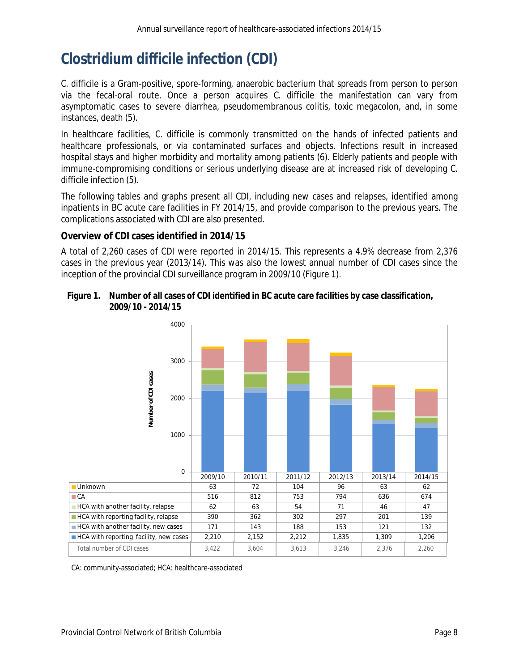# <span id="page-7-0"></span>*Clostridium difficile* **infection (CDI)**

*C. difficile* is a Gram-positive, spore-forming, anaerobic bacterium that spreads from person to person via the fecal-oral route. Once a person acquires *C. difficile* the manifestation can vary from asymptomatic cases to severe diarrhea, pseudomembranous colitis, toxic megacolon, and, in some instances, death (5).

In healthcare facilities, *C. difficile* is commonly transmitted on the hands of infected patients and healthcare professionals, or via contaminated surfaces and objects. Infections result in increased hospital stays and higher morbidity and mortality among patients (6). Elderly patients and people with immune-compromising conditions or serious underlying disease are at increased risk of developing *C. difficile* infection (5).

The following tables and graphs present all CDI, including new cases and relapses, identified among inpatients in BC acute care facilities in FY 2014/15, and provide comparison to the previous years. The complications associated with CDI are also presented.

#### **Overview of CDI cases identified in 2014/15**

A total of 2,260 cases of CDI were reported in 2014/15. This represents a 4.9% decrease from 2,376 cases in the previous year (2013/14). This was also the lowest annual number of CDI cases since the inception of the provincial CDI surveillance program in 2009/10 (Figure 1).

#### <span id="page-7-1"></span>**Figure 1. Number of all cases of CDI identified in BC acute care facilities by case classification, 2009/10 - 2014/15**



CA: community-associated; HCA: healthcare-associated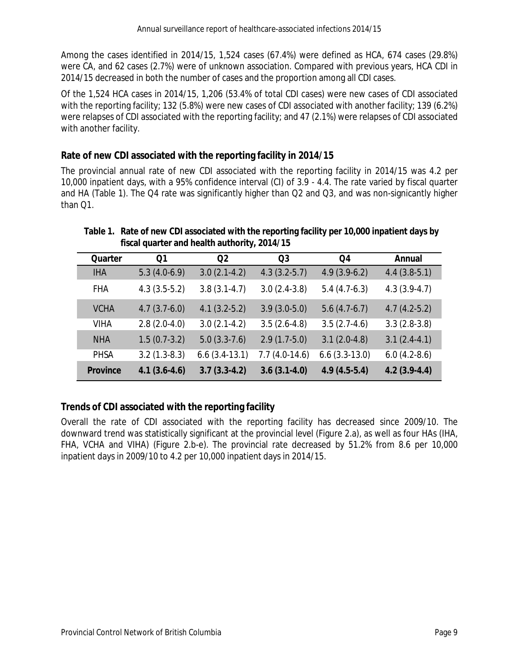Among the cases identified in 2014/15, 1,524 cases (67.4%) were defined as HCA, 674 cases (29.8%) were CA, and 62 cases (2.7%) were of unknown association. Compared with previous years, HCA CDI in 2014/15 decreased in both the number of cases and the proportion among all CDI cases.

Of the 1,524 HCA cases in 2014/15, 1,206 (53.4% of total CDI cases) were new cases of CDI associated with the reporting facility; 132 (5.8%) were new cases of CDI associated with another facility; 139 (6.2%) were relapses of CDI associated with the reporting facility; and 47 (2.1%) were relapses of CDI associated with another facility.

### **Rate of new CDI associated with the reporting facility in 2014/15**

The provincial annual rate of new CDI associated with the reporting facility in 2014/15 was 4.2 per 10,000 inpatient days, with a 95% confidence interval (CI) of 3.9 - 4.4. The rate varied by fiscal quarter and HA (Table 1). The Q4 rate was significantly higher than Q2 and Q3, and was non-signicantly higher than Q1.

<span id="page-8-1"></span>**Table 1. Rate of new CDI associated with the reporting facility per 10,000 inpatient days by fiscal quarter and health authority, 2014/15**

| Quarter         | Q1             | Q <sub>2</sub>  | Q <sub>3</sub>  | Q4                 | Annual         |
|-----------------|----------------|-----------------|-----------------|--------------------|----------------|
| <b>IHA</b>      | $5.3(4.0-6.9)$ | $3.0(2.1-4.2)$  | $4.3(3.2-5.7)$  | $4.9(3.9-6.2)$     | $4.4(3.8-5.1)$ |
| <b>FHA</b>      | $4.3(3.5-5.2)$ | $3.8(3.1-4.7)$  | $3.0(2.4-3.8)$  | $5.4(4.7-6.3)$     | $4.3(3.9-4.7)$ |
| <b>VCHA</b>     | $4.7(3.7-6.0)$ | $4.1(3.2-5.2)$  | $3.9(3.0-5.0)$  | $5.6(4.7-6.7)$     | $4.7(4.2-5.2)$ |
| <b>VIHA</b>     | $2.8(2.0-4.0)$ | $3.0(2.1-4.2)$  | $3.5(2.6-4.8)$  | $3.5(2.7-4.6)$     | $3.3(2.8-3.8)$ |
| <b>NHA</b>      | $1.5(0.7-3.2)$ | $5.0(3.3-7.6)$  | $2.9(1.7-5.0)$  | $3.1(2.0-4.8)$     | $3.1(2.4-4.1)$ |
| <b>PHSA</b>     | $3.2(1.3-8.3)$ | $6.6(3.4-13.1)$ | $7.7(4.0-14.6)$ | $6.6$ $(3.3-13.0)$ | $6.0(4.2-8.6)$ |
| <b>Province</b> | $4.1(3.6-4.6)$ | $3.7(3.3-4.2)$  | $3.6(3.1-4.0)$  | $4.9(4.5-5.4)$     | $4.2(3.9-4.4)$ |

### **Trends of CDI associated with the reporting facility**

<span id="page-8-0"></span>Overall the rate of CDI associated with the reporting facility has decreased since 2009/10. The downward trend was statistically significant at the provincial level (Figure 2.a), as well as four HAs (IHA, FHA, VCHA and VIHA) (Figure 2.b-e). The provincial rate decreased by 51.2% from 8.6 per 10,000 inpatient days in 2009/10 to 4.2 per 10,000 inpatient days in 2014/15.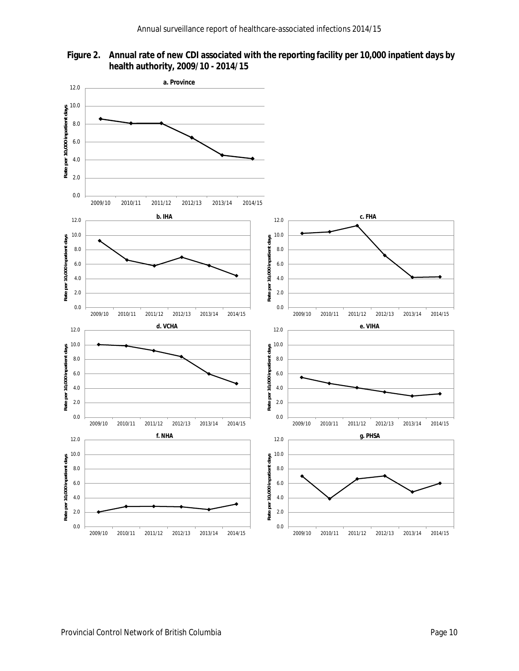

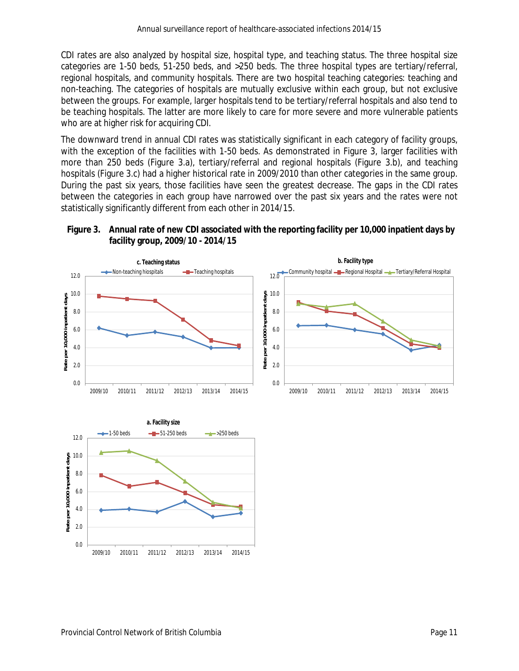CDI rates are also analyzed by hospital size, hospital type, and teaching status. The three hospital size categories are 1-50 beds, 51-250 beds, and >250 beds. The three hospital types are tertiary/referral, regional hospitals, and community hospitals. There are two hospital teaching categories: teaching and non-teaching. The categories of hospitals are mutually exclusive within each group, but not exclusive between the groups. For example, larger hospitals tend to be tertiary/referral hospitals and also tend to be teaching hospitals. The latter are more likely to care for more severe and more vulnerable patients who are at higher risk for acquiring CDI.

The downward trend in annual CDI rates was statistically significant in each category of facility groups, with the exception of the facilities with 1-50 beds. As demonstrated in Figure 3, larger facilities with more than 250 beds (Figure 3.a), tertiary/referral and regional hospitals (Figure 3.b), and teaching hospitals (Figure 3.c) had a higher historical rate in 2009/2010 than other categories in the same group. During the past six years, those facilities have seen the greatest decrease. The gaps in the CDI rates between the categories in each group have narrowed over the past six years and the rates were not statistically significantly different from each other in 2014/15.

<span id="page-10-0"></span>



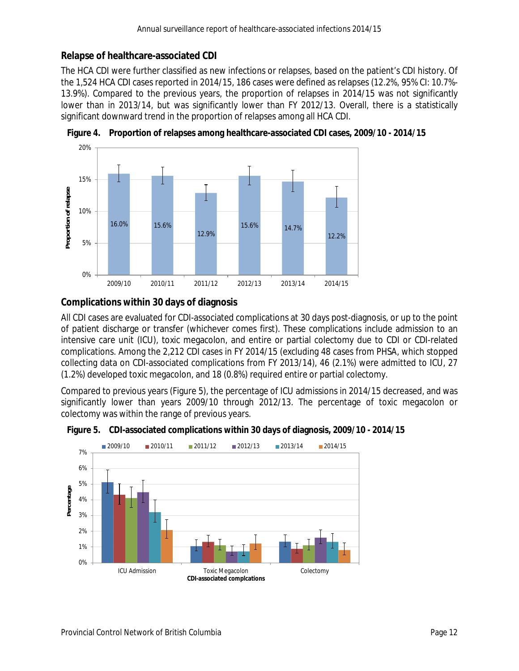#### **Relapse of healthcare-associated CDI**

The HCA CDI were further classified as new infections or relapses, based on the patient's CDI history. Of the 1,524 HCA CDI cases reported in 2014/15, 186 cases were defined as relapses (12.2%, 95% CI: 10.7%- 13.9%). Compared to the previous years, the proportion of relapses in 2014/15 was not significantly lower than in 2013/14, but was significantly lower than FY 2012/13. Overall, there is a statistically significant downward trend in the proportion of relapses among all HCA CDI.



<span id="page-11-0"></span>**Figure 4. Proportion of relapses among healthcare-associated CDI cases, 2009/10 - 2014/15**

### **Complications within 30 days of diagnosis**

All CDI cases are evaluated for CDI-associated complications at 30 days post-diagnosis, or up to the point of patient discharge or transfer (whichever comes first). These complications include admission to an intensive care unit (ICU), toxic megacolon, and entire or partial colectomy due to CDI or CDI-related complications. Among the 2,212 CDI cases in FY 2014/15 (excluding 48 cases from PHSA, which stopped collecting data on CDI-associated complications from FY 2013/14), 46 (2.1%) were admitted to ICU, 27 (1.2%) developed toxic megacolon, and 18 (0.8%) required entire or partial colectomy.

Compared to previous years (Figure 5), the percentage of ICU admissions in 2014/15 decreased, and was significantly lower than years 2009/10 through 2012/13. The percentage of toxic megacolon or colectomy was within the range of previous years.



<span id="page-11-1"></span>**Figure 5. CDI-associated complications within 30 days of diagnosis, 2009/10 - 2014/15**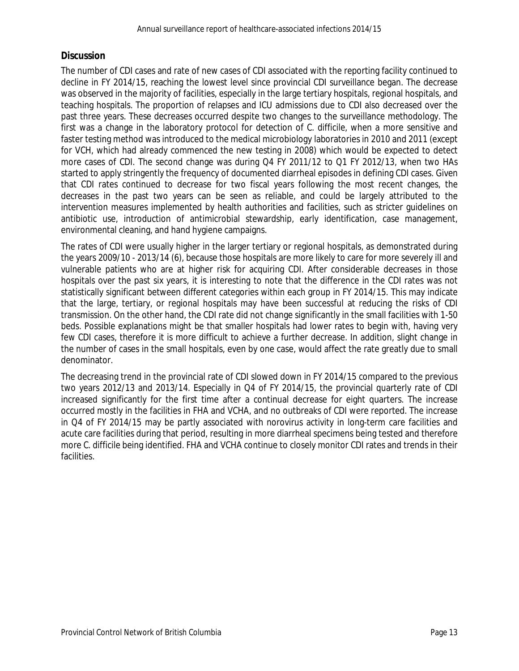#### **Discussion**

The number of CDI cases and rate of new cases of CDI associated with the reporting facility continued to decline in FY 2014/15, reaching the lowest level since provincial CDI surveillance began. The decrease was observed in the majority of facilities, especially in the large tertiary hospitals, regional hospitals, and teaching hospitals. The proportion of relapses and ICU admissions due to CDI also decreased over the past three years. These decreases occurred despite two changes to the surveillance methodology. The first was a change in the laboratory protocol for detection of *C. difficile*, when a more sensitive and faster testing method was introduced to the medical microbiology laboratories in 2010 and 2011 (except for VCH, which had already commenced the new testing in 2008) which would be expected to detect more cases of CDI. The second change was during Q4 FY 2011/12 to Q1 FY 2012/13, when two HAs started to apply stringently the frequency of documented diarrheal episodes in defining CDI cases. Given that CDI rates continued to decrease for two fiscal years following the most recent changes, the decreases in the past two years can be seen as reliable, and could be largely attributed to the intervention measures implemented by health authorities and facilities, such as stricter guidelines on antibiotic use, introduction of antimicrobial stewardship, early identification, case management, environmental cleaning, and hand hygiene campaigns.

The rates of CDI were usually higher in the larger tertiary or regional hospitals, as demonstrated during the years 2009/10 - 2013/14 (6), because those hospitals are more likely to care for more severely ill and vulnerable patients who are at higher risk for acquiring CDI. After considerable decreases in those hospitals over the past six years, it is interesting to note that the difference in the CDI rates was not statistically significant between different categories within each group in FY 2014/15. This may indicate that the large, tertiary, or regional hospitals may have been successful at reducing the risks of CDI transmission. On the other hand, the CDI rate did not change significantly in the small facilities with 1-50 beds. Possible explanations might be that smaller hospitals had lower rates to begin with, having very few CDI cases, therefore it is more difficult to achieve a further decrease. In addition, slight change in the number of cases in the small hospitals, even by one case, would affect the rate greatly due to small denominator.

The decreasing trend in the provincial rate of CDI slowed down in FY 2014/15 compared to the previous two years 2012/13 and 2013/14. Especially in Q4 of FY 2014/15, the provincial quarterly rate of CDI increased significantly for the first time after a continual decrease for eight quarters. The increase occurred mostly in the facilities in FHA and VCHA, and no outbreaks of CDI were reported. The increase in Q4 of FY 2014/15 may be partly associated with norovirus activity in long-term care facilities and acute care facilities during that period, resulting in more diarrheal specimens being tested and therefore more *C. difficile* being identified. FHA and VCHA continue to closely monitor CDI rates and trends in their facilities.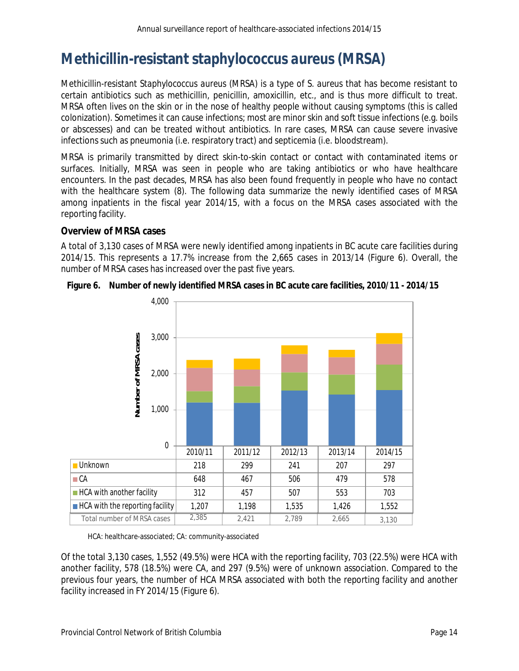# <span id="page-13-0"></span>**Methicillin-resistant** *staphylococcus aureus* **(MRSA)**

Methicillin-resistant *Staphylococcus aureus* (MRSA) is a type of *S. aureus* that has become resistant to certain antibiotics such as methicillin, penicillin, amoxicillin, etc., and is thus more difficult to treat. MRSA often lives on the skin or in the nose of healthy people without causing symptoms (this is called colonization). Sometimes it can cause infections; most are minor skin and soft tissue infections (e.g. boils or abscesses) and can be treated without antibiotics. In rare cases, MRSA can cause severe invasive infections such as pneumonia (i.e. respiratory tract) and septicemia (i.e. bloodstream).

MRSA is primarily transmitted by direct skin-to-skin contact or contact with contaminated items or surfaces. Initially, MRSA was seen in people who are taking antibiotics or who have healthcare encounters. In the past decades, MRSA has also been found frequently in people who have no contact with the healthcare system (8). The following data summarize the newly identified cases of MRSA among inpatients in the fiscal year 2014/15, with a focus on the MRSA cases associated with the reporting facility.

#### **Overview of MRSA cases**

A total of 3,130 cases of MRSA were newly identified among inpatients in BC acute care facilities during 2014/15. This represents a 17.7% increase from the 2,665 cases in 2013/14 (Figure 6). Overall, the number of MRSA cases has increased over the past five years.



<span id="page-13-1"></span>**Figure 6. Number of newly identified MRSA cases in BC acute care facilities, 2010/11 - 2014/15**

HCA: healthcare-associated; CA: community-associated

Of the total 3,130 cases, 1,552 (49.5%) were HCA with the reporting facility, 703 (22.5%) were HCA with another facility, 578 (18.5%) were CA, and 297 (9.5%) were of unknown association. Compared to the previous four years, the number of HCA MRSA associated with both the reporting facility and another facility increased in FY 2014/15 (Figure 6).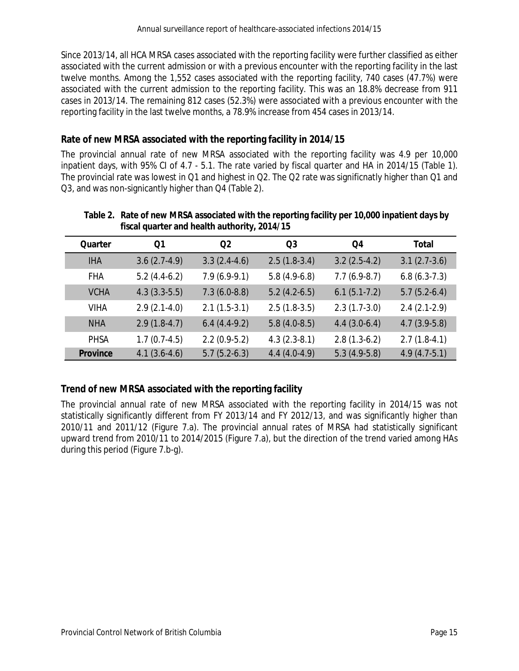Since 2013/14, all HCA MRSA cases associated with the reporting facility were further classified as either associated with the current admission or with a previous encounter with the reporting facility in the last twelve months. Among the 1,552 cases associated with the reporting facility, 740 cases (47.7%) were associated with the current admission to the reporting facility. This was an 18.8% decrease from 911 cases in 2013/14. The remaining 812 cases (52.3%) were associated with a previous encounter with the reporting facility in the last twelve months, a 78.9% increase from 454 cases in 2013/14.

#### **Rate of new MRSA associated with the reporting facility in 2014/15**

The provincial annual rate of new MRSA associated with the reporting facility was 4.9 per 10,000 inpatient days, with 95% CI of 4.7 - 5.1. The rate varied by fiscal quarter and HA in 2014/15 (Table 1). The provincial rate was lowest in Q1 and highest in Q2. The Q2 rate was significnatly higher than Q1 and Q3, and was non-signicantly higher than Q4 (Table 2).

<span id="page-14-1"></span>

| fiscal quarter and health authority, 2014/15 |                |                |                |                |                |
|----------------------------------------------|----------------|----------------|----------------|----------------|----------------|
| Quarter                                      | Q1             | Q <sub>2</sub> | Q3             | Q4             | Total          |
| <b>IHA</b>                                   | $3.6(2.7-4.9)$ | $3.3(2.4-4.6)$ | $2.5(1.8-3.4)$ | $3.2(2.5-4.2)$ | $3.1(2.7-3.6)$ |
| <b>FHA</b>                                   | $5.2(4.4-6.2)$ | $7.9(6.9-9.1)$ | $5.8(4.9-6.8)$ | $7.7(6.9-8.7)$ | $6.8(6.3-7.3)$ |
| <b>VCHA</b>                                  | $4.3(3.3-5.5)$ | $7.3(6.0-8.8)$ | $5.2(4.2-6.5)$ | $6.1(5.1-7.2)$ | $5.7(5.2-6.4)$ |
| <b>VIHA</b>                                  | $2.9(2.1-4.0)$ | $2.1(1.5-3.1)$ | $2.5(1.8-3.5)$ | $2.3(1.7-3.0)$ | $2.4(2.1-2.9)$ |
| <b>NHA</b>                                   | $2.9(1.8-4.7)$ | $6.4(4.4-9.2)$ | $5.8(4.0-8.5)$ | $4.4(3.0-6.4)$ | $4.7(3.9-5.8)$ |
| <b>PHSA</b>                                  | $1.7(0.7-4.5)$ | $2.2(0.9-5.2)$ | $4.3(2.3-8.1)$ | $2.8(1.3-6.2)$ | $2.7(1.8-4.1)$ |
| Province                                     | $4.1(3.6-4.6)$ | $5.7(5.2-6.3)$ | $4.4(4.0-4.9)$ | $5.3(4.9-5.8)$ | $4.9(4.7-5.1)$ |

#### **Table 2. Rate of new MRSA associated with the reporting facility per 10,000 inpatient days by fiscal quarter and health authority, 2014/15**

### **Trend of new MRSA associated with the reporting facility**

<span id="page-14-0"></span>The provincial annual rate of new MRSA associated with the reporting facility in 2014/15 was not statistically significantly different from FY 2013/14 and FY 2012/13, and was significantly higher than 2010/11 and 2011/12 (Figure 7.a). The provincial annual rates of MRSA had statistically significant upward trend from 2010/11 to 2014/2015 (Figure 7.a), but the direction of the trend varied among HAs during this period (Figure 7.b-g).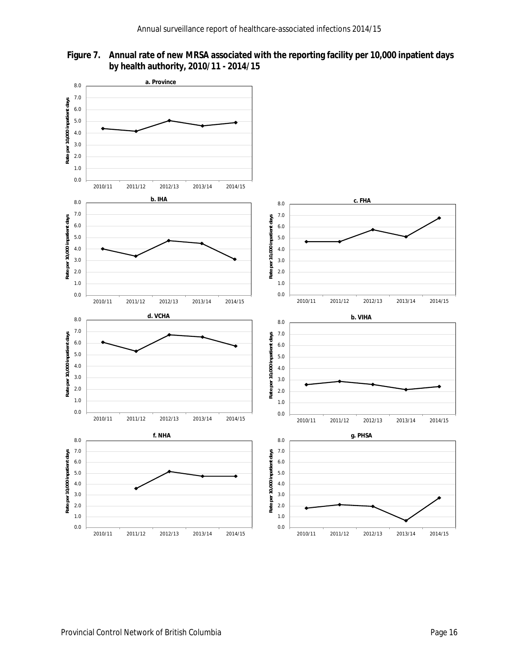

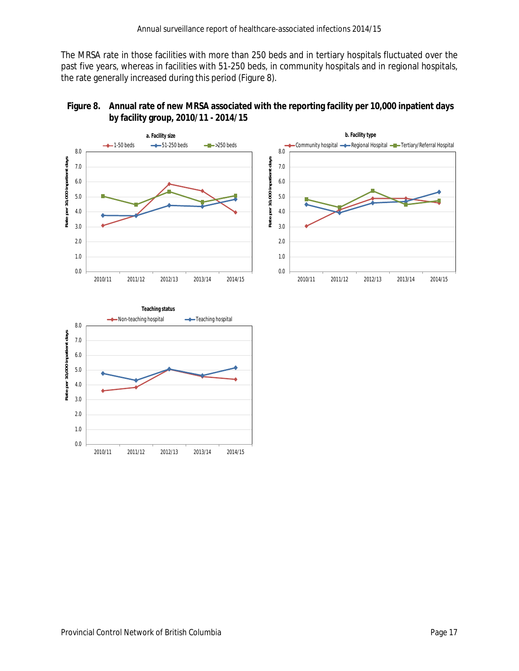The MRSA rate in those facilities with more than 250 beds and in tertiary hospitals fluctuated over the past five years, whereas in facilities with 51-250 beds, in community hospitals and in regional hospitals, the rate generally increased during this period (Figure 8).



<span id="page-16-0"></span>

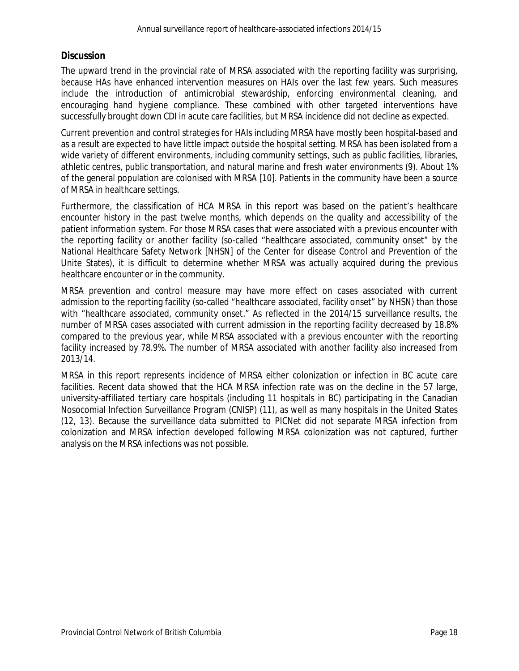#### **Discussion**

The upward trend in the provincial rate of MRSA associated with the reporting facility was surprising, because HAs have enhanced intervention measures on HAIs over the last few years. Such measures include the introduction of antimicrobial stewardship, enforcing environmental cleaning, and encouraging hand hygiene compliance. These combined with other targeted interventions have successfully brought down CDI in acute care facilities, but MRSA incidence did not decline as expected.

Current prevention and control strategies for HAIs including MRSA have mostly been hospital-based and as a result are expected to have little impact outside the hospital setting. MRSA has been isolated from a wide variety of different environments, including community settings, such as public facilities, libraries, athletic centres, public transportation, and natural marine and fresh water environments (9). About 1% of the general population are colonised with MRSA [10]. Patients in the community have been a source of MRSA in healthcare settings.

Furthermore, the classification of HCA MRSA in this report was based on the patient's healthcare encounter history in the past twelve months, which depends on the quality and accessibility of the patient information system. For those MRSA cases that were associated with a previous encounter with the reporting facility or another facility (so-called "healthcare associated, community onset" by the National Healthcare Safety Network [NHSN] of the Center for disease Control and Prevention of the Unite States), it is difficult to determine whether MRSA was actually acquired during the previous healthcare encounter or in the community.

MRSA prevention and control measure may have more effect on cases associated with current admission to the reporting facility (so-called "healthcare associated, facility onset" by NHSN) than those with "healthcare associated, community onset." As reflected in the 2014/15 surveillance results, the number of MRSA cases associated with current admission in the reporting facility decreased by 18.8% compared to the previous year, while MRSA associated with a previous encounter with the reporting facility increased by 78.9%. The number of MRSA associated with another facility also increased from 2013/14.

MRSA in this report represents incidence of MRSA either colonization or infection in BC acute care facilities. Recent data showed that the HCA MRSA infection rate was on the decline in the 57 large, university-affiliated tertiary care hospitals (including 11 hospitals in BC) participating in the Canadian Nosocomial Infection Surveillance Program (CNISP) (11), as well as many hospitals in the United States (12, 13). Because the surveillance data submitted to PICNet did not separate MRSA infection from colonization and MRSA infection developed following MRSA colonization was not captured, further analysis on the MRSA infections was not possible.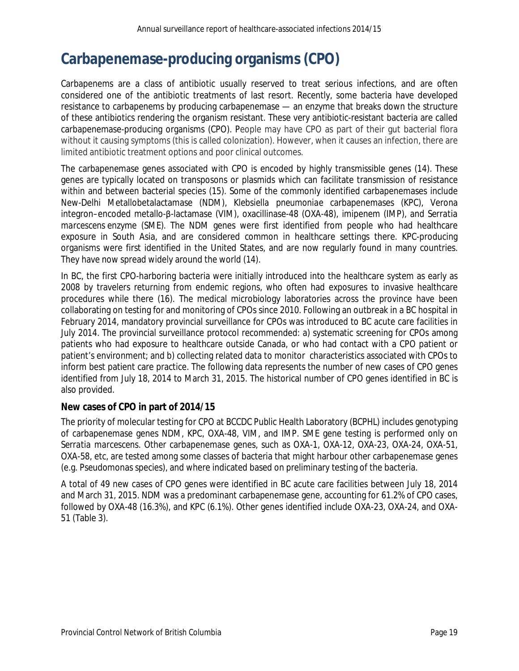# <span id="page-18-0"></span>**Carbapenemase-producing organisms (CPO)**

Carbapenems are a class of antibiotic usually reserved to treat serious infections, and are often considered one of the antibiotic treatments of last resort. Recently, some bacteria have developed resistance to carbapenems by producing carbapenemase — an enzyme that breaks down the structure of these antibiotics rendering the organism resistant. These very antibiotic-resistant bacteria are called carbapenemase-producing organisms (CPO). People may have CPO as part of their gut bacterial flora without it causing symptoms (this is called colonization). However, when it causes an infection, there are limited antibiotic treatment options and poor clinical outcomes.

The carbapenemase genes associated with CPO is encoded by highly transmissible genes (14). These genes are typically located on transposons or plasmids which can facilitate transmission of resistance within and between bacterial species (15). Some of the commonly identified carbapenemases include New-Delhi Metallobetalactamase (NDM), *Klebsiella pneumoniae* carbapenemases (KPC), Verona integron–encoded metallo-β-lactamase (VIM), oxacillinase-48 (OXA-48), imipenem (IMP), and *Serratia marcescens* enzyme (SME). The NDM genes were first identified from people who had healthcare exposure in South Asia, and are considered common in healthcare settings there. KPC-producing organisms were first identified in the United States, and are now regularly found in many countries. They have now spread widely around the world (14).

In BC, the first CPO-harboring bacteria were initially introduced into the healthcare system as early as 2008 by travelers returning from endemic regions, who often had exposures to invasive healthcare procedures while there (16). The medical microbiology laboratories across the province have been collaborating on testing for and monitoring of CPOs since 2010. Following an outbreak in a BC hospital in February 2014, mandatory provincial surveillance for CPOs was introduced to BC acute care facilities in July 2014. The provincial surveillance protocol recommended: a) systematic screening for CPOs among patients who had exposure to healthcare outside Canada, or who had contact with a CPO patient or patient's environment; and b) collecting related data to monitor characteristics associated with CPOs to inform best patient care practice. The following data represents the number of new cases of CPO genes identified from July 18, 2014 to March 31, 2015. The historical number of CPO genes identified in BC is also provided.

#### **New cases of CPO in part of 2014/15**

The priority of molecular testing for CPO at BCCDC Public Health Laboratory (BCPHL) includes genotyping of carbapenemase genes NDM, KPC, OXA-48, VIM, and IMP. SME gene testing is performed only on *Serratia marcescens*. Other carbapenemase genes, such as OXA-1, OXA-12, OXA-23, OXA-24, OXA-51, OXA-58, etc, are tested among some classes of bacteria that might harbour other carbapenemase genes (e.g. Pseudomonas species), and where indicated based on preliminary testing of the bacteria.

A total of 49 new cases of CPO genes were identified in BC acute care facilities between July 18, 2014 and March 31, 2015. NDM was a predominant carbapenemase gene, accounting for 61.2% of CPO cases, followed by OXA-48 (16.3%), and KPC (6.1%). Other genes identified include OXA-23, OXA-24, and OXA-51 (Table 3).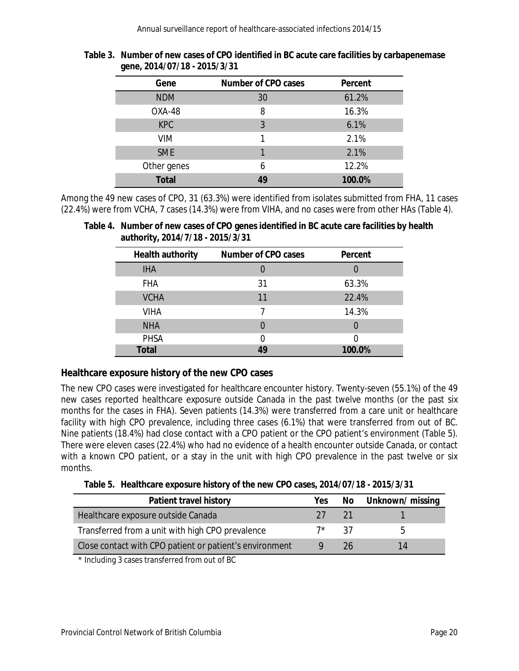| ັ            |                     |         |
|--------------|---------------------|---------|
| Gene         | Number of CPO cases | Percent |
| <b>NDM</b>   | 30                  | 61.2%   |
| OXA-48       | 8                   | 16.3%   |
| <b>KPC</b>   | 3                   | 6.1%    |
| <b>VIM</b>   |                     | 2.1%    |
| <b>SME</b>   |                     | 2.1%    |
| Other genes  | 6                   | 12.2%   |
| <b>Total</b> | 49                  | 100.0%  |

#### <span id="page-19-0"></span>**Table 3. Number of new cases of CPO identified in BC acute care facilities by carbapenemase gene, 2014/07/18 - 2015/3/31**

Among the 49 new cases of CPO, 31 (63.3%) were identified from isolates submitted from FHA, 11 cases (22.4%) were from VCHA, 7 cases (14.3%) were from VIHA, and no cases were from other HAs (Table 4).

<span id="page-19-1"></span>**Table 4. Number of new cases of CPO genes identified in BC acute care facilities by health authority, 2014/7/18 - 2015/3/31**

| Health authority | Number of CPO cases | Percent |
|------------------|---------------------|---------|
| <b>IHA</b>       |                     |         |
| <b>FHA</b>       | 31                  | 63.3%   |
| <b>VCHA</b>      | 11                  | 22.4%   |
| <b>VIHA</b>      |                     | 14.3%   |
| <b>NHA</b>       | $\mathcal{O}$       |         |
| <b>PHSA</b>      | N                   |         |
| <b>Total</b>     | 49                  | 100.0%  |

### **Healthcare exposure history of the new CPO cases**

The new CPO cases were investigated for healthcare encounter history. Twenty-seven (55.1%) of the 49 new cases reported healthcare exposure outside Canada in the past twelve months (or the past six months for the cases in FHA). Seven patients (14.3%) were transferred from a care unit or healthcare facility with high CPO prevalence, including three cases (6.1%) that were transferred from out of BC. Nine patients (18.4%) had close contact with a CPO patient or the CPO patient's environment (Table 5). There were eleven cases (22.4%) who had no evidence of a health encounter outside Canada, or contact with a known CPO patient, or a stay in the unit with high CPO prevalence in the past twelve or six months.

|  | Table 5. Healthcare exposure history of the new CPO cases, 2014/07/18 - 2015/3/31 |  |  |  |  |  |
|--|-----------------------------------------------------------------------------------|--|--|--|--|--|
|--|-----------------------------------------------------------------------------------|--|--|--|--|--|

<span id="page-19-2"></span>

| Patient travel history                                  | Yes. |     | No Unknown/missing |
|---------------------------------------------------------|------|-----|--------------------|
| Healthcare exposure outside Canada                      | 27.  | 21  |                    |
| Transferred from a unit with high CPO prevalence        | 7*   | -37 | h                  |
| Close contact with CPO patient or patient's environment |      | 26  | 14                 |

\* Including 3 cases transferred from out of BC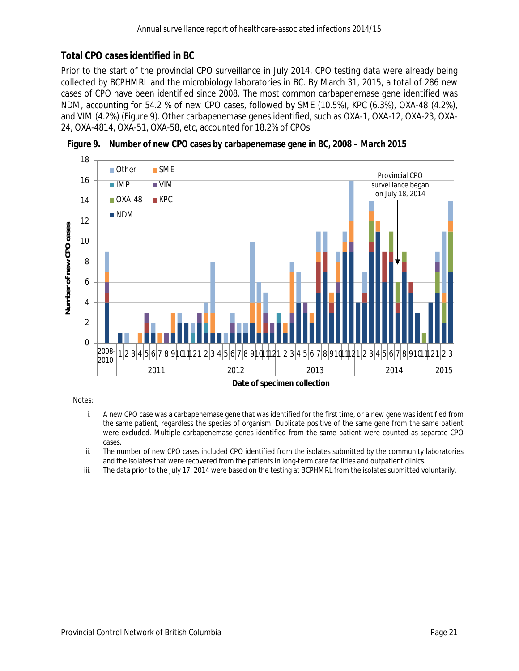### **Total CPO cases identified in BC**

Prior to the start of the provincial CPO surveillance in July 2014, CPO testing data were already being collected by BCPHMRL and the microbiology laboratories in BC. By March 31, 2015, a total of 286 new cases of CPO have been identified since 2008. The most common carbapenemase gene identified was NDM, accounting for 54.2 % of new CPO cases, followed by SME (10.5%), KPC (6.3%), OXA-48 (4.2%), and VIM (4.2%) (Figure 9). Other carbapenemase genes identified, such as OXA-1, OXA-12, OXA-23, OXA-24, OXA-4814, OXA-51, OXA-58, etc, accounted for 18.2% of CPOs.



<span id="page-20-0"></span>**Figure 9. Number of new CPO cases by carbapenemase gene in BC, 2008 – March 2015**

Notes:

- i. A new CPO case was a carbapenemase gene that was identified for the first time, or a new gene was identified from the same patient, regardless the species of organism. Duplicate positive of the same gene from the same patient were excluded. Multiple carbapenemase genes identified from the same patient were counted as separate CPO cases.
- ii. The number of new CPO cases included CPO identified from the isolates submitted by the community laboratories and the isolates that were recovered from the patients in long-term care facilities and outpatient clinics.
- iii. The data prior to the July 17, 2014 were based on the testing at BCPHMRL from the isolates submitted voluntarily.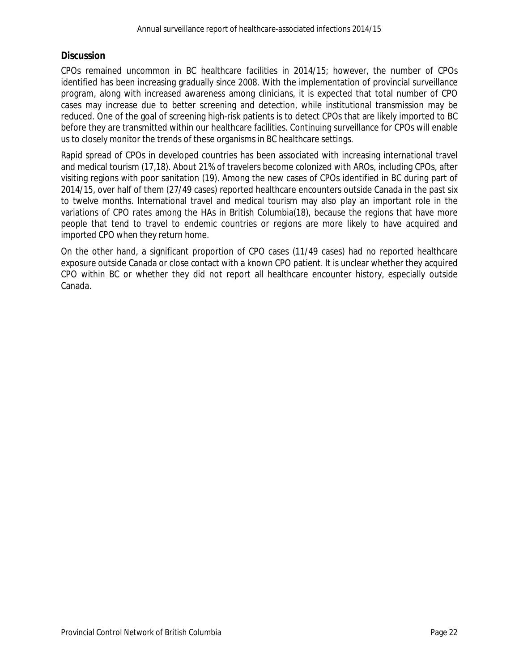#### **Discussion**

CPOs remained uncommon in BC healthcare facilities in 2014/15; however, the number of CPOs identified has been increasing gradually since 2008. With the implementation of provincial surveillance program, along with increased awareness among clinicians, it is expected that total number of CPO cases may increase due to better screening and detection, while institutional transmission may be reduced. One of the goal of screening high-risk patients is to detect CPOs that are likely imported to BC before they are transmitted within our healthcare facilities. Continuing surveillance for CPOs will enable us to closely monitor the trends of these organisms in BC healthcare settings.

Rapid spread of CPOs in developed countries has been associated with increasing international travel and medical tourism (17,18). About 21% of travelers become colonized with AROs, including CPOs, after visiting regions with poor sanitation (19). Among the new cases of CPOs identified in BC during part of 2014/15, over half of them (27/49 cases) reported healthcare encounters outside Canada in the past six to twelve months. International travel and medical tourism may also play an important role in the variations of CPO rates among the HAs in British Columbia(18), because the regions that have more people that tend to travel to endemic countries or regions are more likely to have acquired and imported CPO when they return home.

On the other hand, a significant proportion of CPO cases (11/49 cases) had no reported healthcare exposure outside Canada or close contact with a known CPO patient. It is unclear whether they acquired CPO within BC or whether they did not report all healthcare encounter history, especially outside Canada.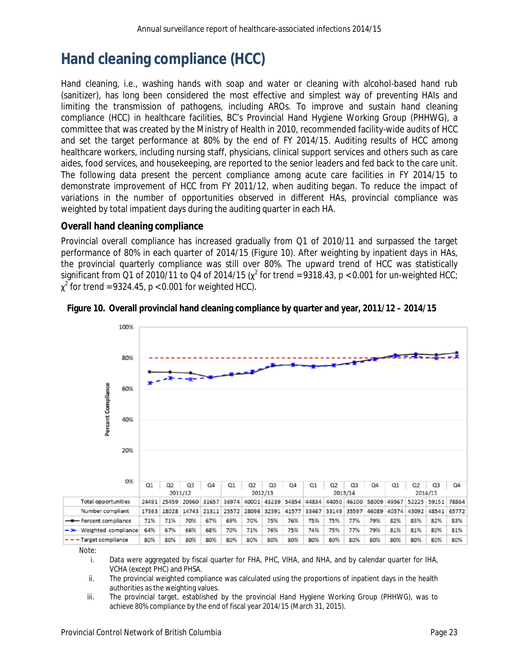# <span id="page-22-0"></span>**Hand cleaning compliance (HCC)**

Hand cleaning, i.e., washing hands with soap and water or cleaning with alcohol-based hand rub (sanitizer), has long been considered the most effective and simplest way of preventing HAIs and limiting the transmission of pathogens, including AROs. To improve and sustain hand cleaning compliance (HCC) in healthcare facilities, BC's Provincial Hand Hygiene Working Group (PHHWG), a committee that was created by the Ministry of Health in 2010, recommended facility-wide audits of HCC and set the target performance at 80% by the end of FY 2014/15. Auditing results of HCC among healthcare workers, including nursing staff, physicians, clinical support services and others such as care aides, food services, and housekeeping, are reported to the senior leaders and fed back to the care unit. The following data present the percent compliance among acute care facilities in FY 2014/15 to demonstrate improvement of HCC from FY 2011/12, when auditing began. To reduce the impact of variations in the number of opportunities observed in different HAs, provincial compliance was weighted by total impatient days during the auditing quarter in each HA.

### **Overall hand cleaning compliance**

Provincial overall compliance has increased gradually from Q1 of 2010/11 and surpassed the target performance of 80% in each quarter of 2014/15 (Figure 10). After weighting by inpatient days in HAs, the provincial quarterly compliance was still over 80%. The upward trend of HCC was statistically significant from Q1 of 2010/11 to Q4 of 2014/15 ( $\chi^2$  for trend = 9318.43,  $p < 0.001$  for un-weighted HCC;  $\chi^2$  for trend = 9324.45,  $p < 0.001$  for weighted HCC).



<span id="page-22-1"></span>

Note:

i. Data were aggregated by fiscal quarter for FHA, PHC, VIHA, and NHA, and by calendar quarter for IHA, VCHA (except PHC) and PHSA.

ii. The provincial weighted compliance was calculated using the proportions of inpatient days in the health authorities as the weighting values.

iii. The provincial target, established by the provincial Hand Hygiene Working Group (PHHWG), was to achieve 80% compliance by the end of fiscal year 2014/15 (March 31, 2015).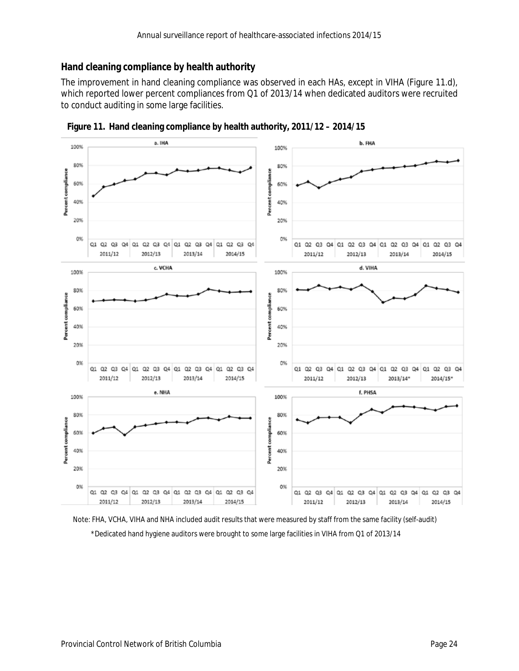### **Hand cleaning compliance by health authority**

The improvement in hand cleaning compliance was observed in each HAs, except in VIHA (Figure 11.d), which reported lower percent compliances from Q1 of 2013/14 when dedicated auditors were recruited to conduct auditing in some large facilities.



<span id="page-23-0"></span>

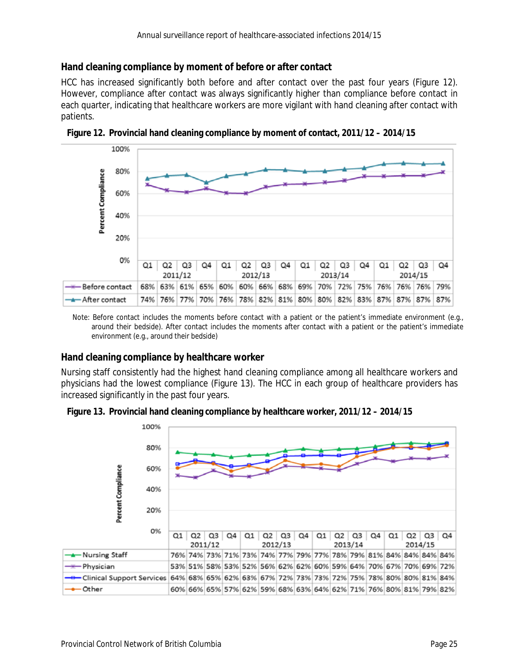#### **Hand cleaning compliance by moment of before or after contact**

HCC has increased significantly both before and after contact over the past four years (Figure 12). However, compliance after contact was always significantly higher than compliance before contact in each quarter, indicating that healthcare workers are more vigilant with hand cleaning after contact with patients.



<span id="page-24-0"></span>**Figure 12. Provincial hand cleaning compliance by moment of contact, 2011/12 – 2014/15**

Note: Before contact includes the moments before contact with a patient or the patient's immediate environment (e.g., around their bedside). After contact includes the moments after contact with a patient or the patient's immediate environment (e.g., around their bedside)

#### **Hand cleaning compliance by healthcare worker**

Nursing staff consistently had the highest hand cleaning compliance among all healthcare workers and physicians had the lowest compliance (Figure 13). The HCC in each group of healthcare providers has increased significantly in the past four years.

<span id="page-24-1"></span>

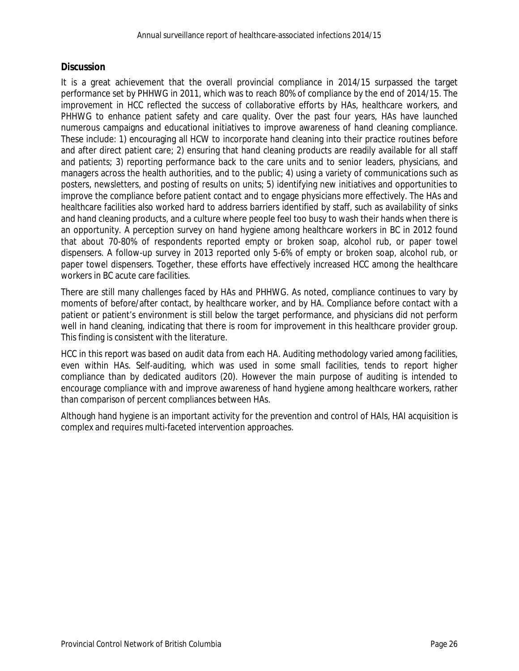#### **Discussion**

It is a great achievement that the overall provincial compliance in 2014/15 surpassed the target performance set by PHHWG in 2011, which was to reach 80% of compliance by the end of 2014/15. The improvement in HCC reflected the success of collaborative efforts by HAs, healthcare workers, and PHHWG to enhance patient safety and care quality. Over the past four years, HAs have launched numerous campaigns and educational initiatives to improve awareness of hand cleaning compliance. These include: 1) encouraging all HCW to incorporate hand cleaning into their practice routines before and after direct patient care; 2) ensuring that hand cleaning products are readily available for all staff and patients; 3) reporting performance back to the care units and to senior leaders, physicians, and managers across the health authorities, and to the public; 4) using a variety of communications such as posters, newsletters, and posting of results on units; 5) identifying new initiatives and opportunities to improve the compliance before patient contact and to engage physicians more effectively. The HAs and healthcare facilities also worked hard to address barriers identified by staff, such as availability of sinks and hand cleaning products, and a culture where people feel too busy to wash their hands when there is an opportunity. A perception survey on hand hygiene among healthcare workers in BC in 2012 found that about 70-80% of respondents reported empty or broken soap, alcohol rub, or paper towel dispensers. A follow-up survey in 2013 reported only 5-6% of empty or broken soap, alcohol rub, or paper towel dispensers. Together, these efforts have effectively increased HCC among the healthcare workers in BC acute care facilities.

There are still many challenges faced by HAs and PHHWG. As noted, compliance continues to vary by moments of before/after contact, by healthcare worker, and by HA. Compliance before contact with a patient or patient's environment is still below the target performance, and physicians did not perform well in hand cleaning, indicating that there is room for improvement in this healthcare provider group. This finding is consistent with the literature.

HCC in this report was based on audit data from each HA. Auditing methodology varied among facilities, even within HAs. Self-auditing, which was used in some small facilities, tends to report higher compliance than by dedicated auditors (20). However the main purpose of auditing is intended to encourage compliance with and improve awareness of hand hygiene among healthcare workers, rather than comparison of percent compliances between HAs.

Although hand hygiene is an important activity for the prevention and control of HAIs, HAI acquisition is complex and requires multi-faceted intervention approaches.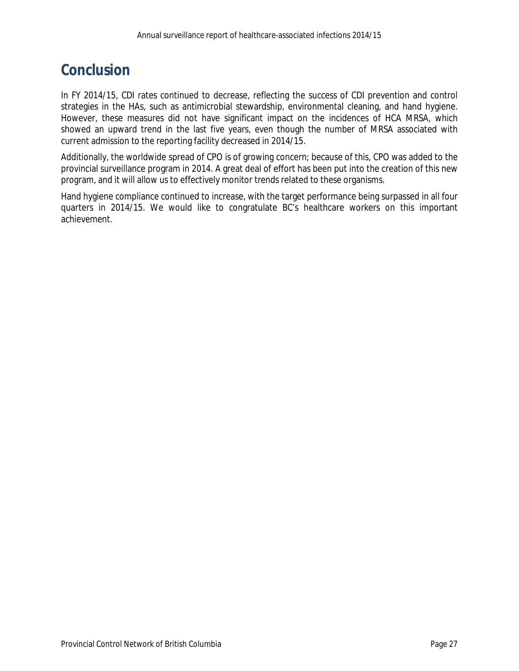## <span id="page-26-0"></span>**Conclusion**

In FY 2014/15, CDI rates continued to decrease, reflecting the success of CDI prevention and control strategies in the HAs, such as antimicrobial stewardship, environmental cleaning, and hand hygiene. However, these measures did not have significant impact on the incidences of HCA MRSA, which showed an upward trend in the last five years, even though the number of MRSA associated with current admission to the reporting facility decreased in 2014/15.

Additionally, the worldwide spread of CPO is of growing concern; because of this, CPO was added to the provincial surveillance program in 2014. A great deal of effort has been put into the creation of this new program, and it will allow us to effectively monitor trends related to these organisms.

Hand hygiene compliance continued to increase, with the target performance being surpassed in all four quarters in 2014/15. We would like to congratulate BC's healthcare workers on this important achievement.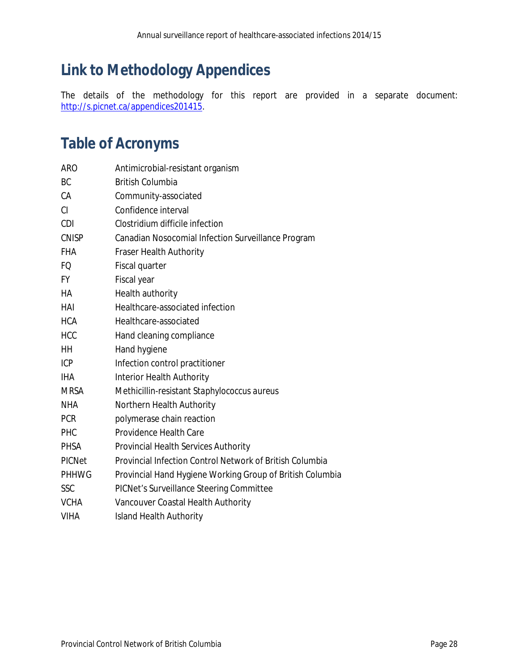# <span id="page-27-0"></span>**Link to Methodology Appendices**

The details of the methodology for this report are provided in a separate document: [http://s.picnet.ca/appendices201415.](http://s.picnet.ca/appendices201415)

# <span id="page-27-1"></span>**Table of Acronyms**

| <b>ARO</b>    | Antimicrobial-resistant organism                          |
|---------------|-----------------------------------------------------------|
| <b>BC</b>     | <b>British Columbia</b>                                   |
| CA            | Community-associated                                      |
| CI            | Confidence interval                                       |
| <b>CDI</b>    | Clostridium difficile infection                           |
| <b>CNISP</b>  | Canadian Nosocomial Infection Surveillance Program        |
| <b>FHA</b>    | Fraser Health Authority                                   |
| FQ            | Fiscal quarter                                            |
| <b>FY</b>     | Fiscal year                                               |
| HA            | Health authority                                          |
| HAI           | Healthcare-associated infection                           |
| <b>HCA</b>    | Healthcare-associated                                     |
| <b>HCC</b>    | Hand cleaning compliance                                  |
| HH            | Hand hygiene                                              |
| ICP           | Infection control practitioner                            |
| <b>IHA</b>    | Interior Health Authority                                 |
| MRSA          | Methicillin-resistant Staphylococcus aureus               |
| <b>NHA</b>    | Northern Health Authority                                 |
| <b>PCR</b>    | polymerase chain reaction                                 |
| PHC           | Providence Health Care                                    |
| <b>PHSA</b>   | Provincial Health Services Authority                      |
| <b>PICNet</b> | Provincial Infection Control Network of British Columbia  |
| <b>PHHWG</b>  | Provincial Hand Hygiene Working Group of British Columbia |
| SSC           | PICNet's Surveillance Steering Committee                  |
| <b>VCHA</b>   | Vancouver Coastal Health Authority                        |
| <b>VIHA</b>   | <b>Island Health Authority</b>                            |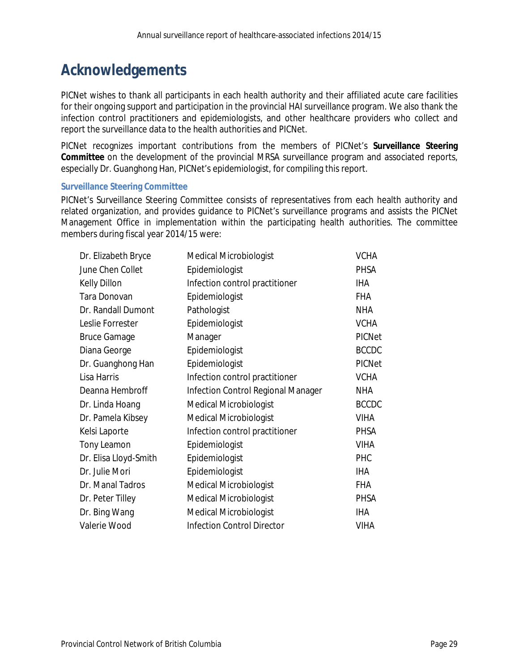### <span id="page-28-0"></span>**Acknowledgements**

PICNet wishes to thank all participants in each health authority and their affiliated acute care facilities for their ongoing support and participation in the provincial HAI surveillance program. We also thank the infection control practitioners and epidemiologists, and other healthcare providers who collect and report the surveillance data to the health authorities and PICNet.

PICNet recognizes important contributions from the members of PICNet's **Surveillance Steering Committee** on the development of the provincial MRSA surveillance program and associated reports, especially Dr. Guanghong Han, PICNet's epidemiologist, for compiling this report.

#### **Surveillance Steering Committee**

PICNet's Surveillance Steering Committee consists of representatives from each health authority and related organization, and provides guidance to PICNet's surveillance programs and assists the PICNet Management Office in implementation within the participating health authorities. The committee members during fiscal year 2014/15 were:

| Dr. Elizabeth Bryce   | <b>Medical Microbiologist</b>      | <b>VCHA</b>   |
|-----------------------|------------------------------------|---------------|
| June Chen Collet      | Epidemiologist                     | <b>PHSA</b>   |
| Kelly Dillon          | Infection control practitioner     | IHA           |
| Tara Donovan          | Epidemiologist                     | <b>FHA</b>    |
| Dr. Randall Dumont    | Pathologist                        | <b>NHA</b>    |
| Leslie Forrester      | Epidemiologist                     | <b>VCHA</b>   |
| <b>Bruce Gamage</b>   | Manager                            | <b>PICNet</b> |
| Diana George          | Epidemiologist                     | <b>BCCDC</b>  |
| Dr. Guanghong Han     | Epidemiologist                     | <b>PICNet</b> |
| Lisa Harris           | Infection control practitioner     | <b>VCHA</b>   |
| Deanna Hembroff       | Infection Control Regional Manager | <b>NHA</b>    |
| Dr. Linda Hoang       | <b>Medical Microbiologist</b>      | <b>BCCDC</b>  |
| Dr. Pamela Kibsey     | <b>Medical Microbiologist</b>      | <b>VIHA</b>   |
| Kelsi Laporte         | Infection control practitioner     | <b>PHSA</b>   |
| <b>Tony Leamon</b>    | Epidemiologist                     | <b>VIHA</b>   |
| Dr. Elisa Lloyd-Smith | Epidemiologist                     | PHC           |
| Dr. Julie Mori        | Epidemiologist                     | IHA           |
| Dr. Manal Tadros      | <b>Medical Microbiologist</b>      | <b>FHA</b>    |
| Dr. Peter Tilley      | <b>Medical Microbiologist</b>      | <b>PHSA</b>   |
| Dr. Bing Wang         | <b>Medical Microbiologist</b>      | <b>IHA</b>    |
| Valerie Wood          | <b>Infection Control Director</b>  | <b>VIHA</b>   |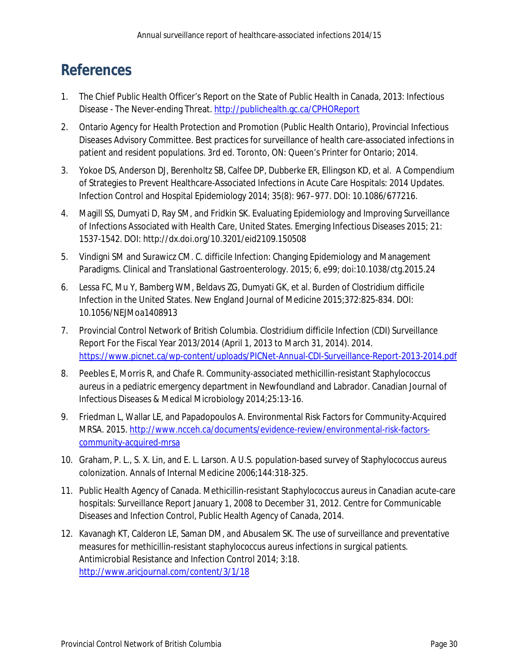# <span id="page-29-0"></span>**References**

- 1. The Chief Public Health Officer's Report on the State of Public Health in Canada, 2013: Infectious Disease - The Never-ending Threat[. http://publichealth.gc.ca/CPHOReport](http://publichealth.gc.ca/CPHOReport)
- 2. Ontario Agency for Health Protection and Promotion (Public Health Ontario), Provincial Infectious Diseases Advisory Committee. Best practices for surveillance of health care-associated infections in patient and resident populations. 3rd ed. Toronto, ON: Queen's Printer for Ontario; 2014.
- 3. Yokoe DS, Anderson DJ, Berenholtz SB, Calfee DP, Dubberke ER, Ellingson KD, et al. A Compendium of Strategies to Prevent Healthcare-Associated Infections in Acute Care Hospitals: 2014 Updates. Infection Control and Hospital Epidemiology 2014; 35(8): 967–977. DOI: 10.1086/677216.
- 4. Magill SS, Dumyati D, Ray SM, and Fridkin SK. Evaluating Epidemiology and Improving Surveillance of Infections Associated with Health Care, United States. Emerging Infectious Diseases 2015; 21: 1537-1542. DOI: http://dx.doi.org/10.3201/eid2109.150508
- 5. Vindigni SM and Surawicz CM. *C. difficile* Infection: Changing Epidemiology and Management Paradigms. Clinical and Translational Gastroenterology. 2015; 6, e99; doi:10.1038/ctg.2015.24
- 6. Lessa FC, Mu Y, Bamberg WM, Beldavs ZG, Dumyati GK, et al. Burden of *Clostridium difficile* Infection in the United States. New England Journal of Medicine 2015;372:825-834. DOI: 10.1056/NEJMoa1408913
- 7. Provincial Control Network of British Columbia. Clostridium difficile Infection (CDI) Surveillance Report For the Fiscal Year 2013/2014 (April 1, 2013 to March 31, 2014). 2014. <https://www.picnet.ca/wp-content/uploads/PICNet-Annual-CDI-Surveillance-Report-2013-2014.pdf>
- 8. Peebles E, Morris R, and Chafe R. Community-associated methicillin-resistant *Staphylococcus aureus* in a pediatric emergency department in Newfoundland and Labrador. Canadian Journal of Infectious Diseases & Medical Microbiology 2014;25:13-16.
- 9. Friedman L, Wallar LE, and Papadopoulos A. Environmental Risk Factors for Community-Acquired MRSA. 2015. [http://www.ncceh.ca/documents/evidence-review/environmental-risk-factors](http://www.ncceh.ca/documents/evidence-review/environmental-risk-factors-community-acquired-mrsa)[community-acquired-mrsa](http://www.ncceh.ca/documents/evidence-review/environmental-risk-factors-community-acquired-mrsa)
- 10. Graham, P. L., S. X. Lin, and E. L. Larson. A U.S. population-based survey of *Staphylococcus aureus* colonization. Annals of Internal Medicine 2006;144:318-325.
- 11. Public Health Agency of Canada. Methicillin-resistant *Staphylococcus aureus* in Canadian acute-care hospitals: Surveillance Report January 1, 2008 to December 31, 2012. Centre for Communicable Diseases and Infection Control, Public Health Agency of Canada, 2014.
- 12. Kavanagh KT, Calderon LE, Saman DM, and Abusalem SK. The use of surveillance and preventative measures for methicillin-resistant *staphylococcus aureus* infections in surgical patients. Antimicrobial Resistance and Infection Control 2014; 3:18. <http://www.aricjournal.com/content/3/1/18>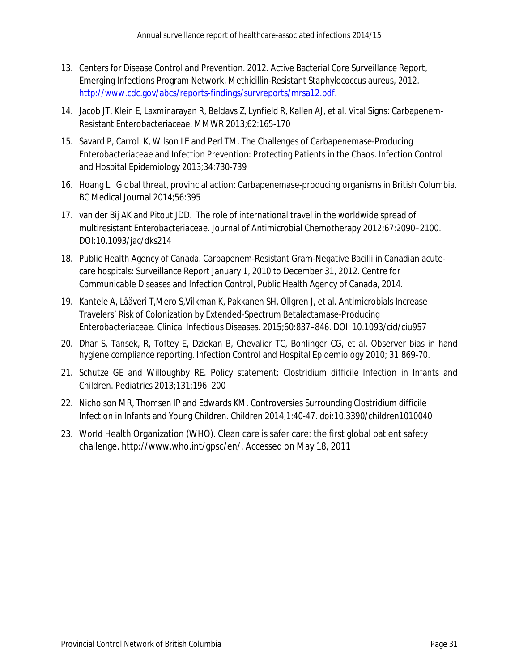- 13. Centers for Disease Control and Prevention. 2012. Active Bacterial Core Surveillance Report, Emerging Infections Program Network, Methicillin-Resistant *Staphylococcus aureus*, 2012. [http://www.cdc.gov/abcs/reports-findings/survreports/mrsa12.pdf.](http://www.cdc.gov/abcs/reports-findings/survreports/mrsa12.pdf)
- 14. Jacob JT, Klein E, Laxminarayan R, Beldavs Z, Lynfield R, Kallen AJ, et al. Vital Signs: Carbapenem-Resistant Enterobacteriaceae. MMWR 2013;62:165-170
- 15. Savard P, Carroll K, Wilson LE and Perl TM. The Challenges of Carbapenemase-Producing *Enterobacteriaceae* and Infection Prevention: Protecting Patients in the Chaos. Infection Control and Hospital Epidemiology 2013;34:730-739
- 16. Hoang L. Global threat, provincial action: Carbapenemase-producing organisms in British Columbia. BC Medical Journal 2014;56:395
- 17. van der Bij AK and Pitout JDD. The role of international travel in the worldwide spread of multiresistant *Enterobacteriaceae*. Journal of Antimicrobial Chemotherapy 2012;67:2090–2100. DOI:10.1093/jac/dks214
- 18. Public Health Agency of Canada. Carbapenem-Resistant Gram-Negative Bacilli in Canadian acutecare hospitals: Surveillance Report January 1, 2010 to December 31, 2012. Centre for Communicable Diseases and Infection Control, Public Health Agency of Canada, 2014.
- 19. Kantele A, Lääveri T,Mero S,Vilkman K, Pakkanen SH, Ollgren J, et al. Antimicrobials Increase Travelers' Risk of Colonization by Extended-Spectrum Betalactamase-Producing *Enterobacteriaceae*. Clinical Infectious Diseases. 2015;60:837–846. DOI: 10.1093/cid/ciu957
- 20. Dhar S, Tansek, R, Toftey E, Dziekan B, Chevalier TC, Bohlinger CG, et al. Observer bias in hand hygiene compliance reporting. Infection Control and Hospital Epidemiology 2010; 31:869-70.
- 21. Schutze GE and Willoughby RE. Policy statement: *Clostridium difficile* Infection in Infants and Children. Pediatrics 2013;131:196–200
- 22. Nicholson MR, Thomsen IP and Edwards KM. Controversies Surrounding *Clostridium diff*icile Infection in Infants and Young Children. Children 2014;1:40-47. doi:10.3390/children1010040
- 23. World Health Organization (WHO). Clean care is safer care: the first global patient safety challenge. http://www.who.int/gpsc/en/. Accessed on May 18, 2011